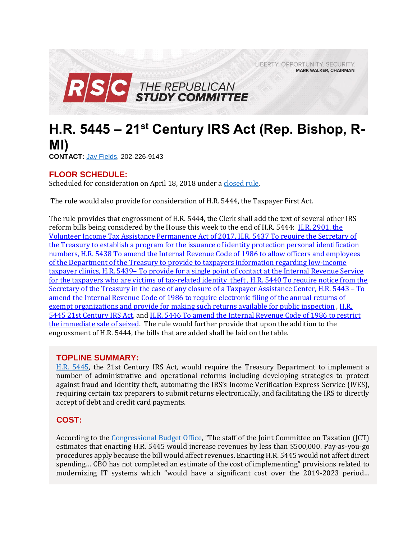LIBERTY. OPPORTUNITY. SECURITY. **MARK WALKER, CHAIRMAN** 



# **H.R. 5445 – 21st Century IRS Act (Rep. Bishop, R-MI)**

**CONTACT:** Jay [Fields,](mailto:jay.fields@mail.house.gov) 202-226-9143

# **FLOOR SCHEDULE:**

Scheduled for consideration on April 18, 2018 under [a closed rule.](https://rules.house.gov/bill/115/hr-5445)

The rule would also provide for consideration of H.R. 5444, the Taxpayer First Act.

The rule provides that engrossment of H.R. 5444, the Clerk shall add the text of several other IRS reform bills being considered by the House this week to the end of H.R. 5444: [H.R. 2901, the](https://gallery.mailchimp.com/d4254037a343b683d142111e0/files/d91a2eaf-3768-4524-b964-de3c0c599a81/RSC_Legislative_Bulletin_IRS_Reform_Suspensions_April_17_2018_FINAL.01.pdf)  [Volunteer Income Tax Assistance Permanence Act of 2017, H.R. 5437 To require the Secretary of](https://gallery.mailchimp.com/d4254037a343b683d142111e0/files/d91a2eaf-3768-4524-b964-de3c0c599a81/RSC_Legislative_Bulletin_IRS_Reform_Suspensions_April_17_2018_FINAL.01.pdf)  [the Treasury to establish a program for the issuance of identity protection personal identification](https://gallery.mailchimp.com/d4254037a343b683d142111e0/files/d91a2eaf-3768-4524-b964-de3c0c599a81/RSC_Legislative_Bulletin_IRS_Reform_Suspensions_April_17_2018_FINAL.01.pdf)  [numbers, H.R. 5438 To amend the Internal Revenue Code of 1986 to allow officers and employees](https://gallery.mailchimp.com/d4254037a343b683d142111e0/files/d91a2eaf-3768-4524-b964-de3c0c599a81/RSC_Legislative_Bulletin_IRS_Reform_Suspensions_April_17_2018_FINAL.01.pdf)  [of the Department of the Treasury to provide to taxpayers information regarding low-income](https://gallery.mailchimp.com/d4254037a343b683d142111e0/files/d91a2eaf-3768-4524-b964-de3c0c599a81/RSC_Legislative_Bulletin_IRS_Reform_Suspensions_April_17_2018_FINAL.01.pdf)  taxpayer clinics, H.R. 5439– [To provide for a single point of contact at the Internal Revenue Service](https://gallery.mailchimp.com/d4254037a343b683d142111e0/files/d91a2eaf-3768-4524-b964-de3c0c599a81/RSC_Legislative_Bulletin_IRS_Reform_Suspensions_April_17_2018_FINAL.01.pdf)  [for the taxpayers who are victims of tax-related identity theft , H.R. 5440 To require notice from the](https://gallery.mailchimp.com/d4254037a343b683d142111e0/files/d91a2eaf-3768-4524-b964-de3c0c599a81/RSC_Legislative_Bulletin_IRS_Reform_Suspensions_April_17_2018_FINAL.01.pdf)  [Secretary of the Treasury in the case of any closure of a](https://gallery.mailchimp.com/d4254037a343b683d142111e0/files/d91a2eaf-3768-4524-b964-de3c0c599a81/RSC_Legislative_Bulletin_IRS_Reform_Suspensions_April_17_2018_FINAL.01.pdf) Taxpayer Assistance Center, H.R. 5443 – To [amend the Internal Revenue Code of 1986 to require electronic filing of the annual returns of](https://gallery.mailchimp.com/d4254037a343b683d142111e0/files/d91a2eaf-3768-4524-b964-de3c0c599a81/RSC_Legislative_Bulletin_IRS_Reform_Suspensions_April_17_2018_FINAL.01.pdf)  [exempt organizations and provide for making such returns available for public inspection](https://gallery.mailchimp.com/d4254037a343b683d142111e0/files/d91a2eaf-3768-4524-b964-de3c0c599a81/RSC_Legislative_Bulletin_IRS_Reform_Suspensions_April_17_2018_FINAL.01.pdf), H.R. [5445 21st Century IRS Act,](https://rules.house.gov/bill/115/hr-5445) and [H.R. 5446 To amend the Internal Revenue Code of 1986 to restrict](https://gallery.mailchimp.com/d4254037a343b683d142111e0/files/d91a2eaf-3768-4524-b964-de3c0c599a81/RSC_Legislative_Bulletin_IRS_Reform_Suspensions_April_17_2018_FINAL.01.pdf)  [the immediate sale of seized.](https://gallery.mailchimp.com/d4254037a343b683d142111e0/files/d91a2eaf-3768-4524-b964-de3c0c599a81/RSC_Legislative_Bulletin_IRS_Reform_Suspensions_April_17_2018_FINAL.01.pdf) The rule would further provide that upon the addition to the engrossment of H.R. 5444, the bills that are added shall be laid on the table.

# **TOPLINE SUMMARY:**

[H.R. 5445,](https://www.gpo.gov/fdsys/pkg/BILLS-115hr5445rh/pdf/BILLS-115hr5445rh.pdf) the 21st Century IRS Act, would require the Treasury Department to implement a number of administrative and operational reforms including developing strategies to protect against fraud and identity theft, automating the IRS's Income Verification Express Service (IVES), requiring certain tax preparers to submit returns electronically, and facilitating the IRS to directly accept of debt and credit card payments.

# **COST:**

According to the [Congressional Budget Office](https://www.cbo.gov/system/files/115th-congress-2017-2018/costestimate/hr5445.pdf), "The staff of the Joint Committee on Taxation (JCT) estimates that enacting H.R. 5445 would increase revenues by less than \$500,000. Pay-as-you-go procedures apply because the bill would affect revenues. Enacting H.R. 5445 would not affect direct spending… CBO has not completed an estimate of the cost of implementing" provisions related to modernizing IT systems which "would have a significant cost over the 2019-2023 period…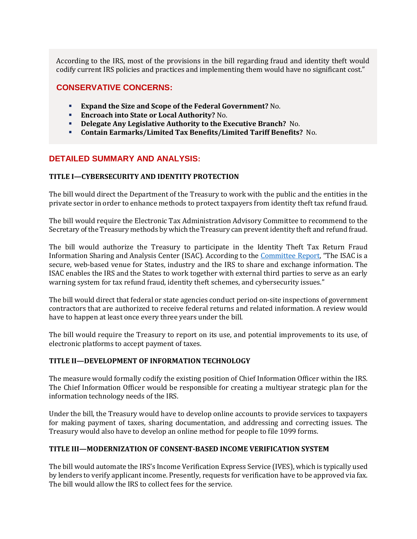According to the IRS, most of the provisions in the bill regarding fraud and identity theft would codify current IRS policies and practices and implementing them would have no significant cost."

## **CONSERVATIVE CONCERNS:**

- **Expand the Size and Scope of the Federal Government?** No.
- **Encroach into State or Local Authority?** No.
- **Delegate Any Legislative Authority to the Executive Branch?** No.
- **Contain Earmarks/Limited Tax Benefits/Limited Tariff Benefits?** No.

## **DETAILED SUMMARY AND ANALYSIS:**

## **TITLE I—CYBERSECURITY AND IDENTITY PROTECTION**

The bill would direct the Department of the Treasury to work with the public and the entities in the private sector in order to enhance methods to protect taxpayers from identity theft tax refund fraud.

The bill would require the Electronic Tax Administration Advisory Committee to recommend to the Secretary of the Treasury methods by which the Treasury can prevent identity theft and refund fraud.

The bill would authorize the Treasury to participate in the Identity Theft Tax Return Fraud Information Sharing and Analysis Center (ISAC). According to the [Committee Report](https://www.congress.gov/115/crpt/hrpt638/CRPT-115hrpt638.pdf), "The ISAC is a secure, web-based venue for States, industry and the IRS to share and exchange information. The ISAC enables the IRS and the States to work together with external third parties to serve as an early warning system for tax refund fraud, identity theft schemes, and cybersecurity issues."

The bill would direct that federal or state agencies conduct period on-site inspections of government contractors that are authorized to receive federal returns and related information. A review would have to happen at least once every three years under the bill.

The bill would require the Treasury to report on its use, and potential improvements to its use, of electronic platforms to accept payment of taxes.

#### **TITLE II—DEVELOPMENT OF INFORMATION TECHNOLOGY**

The measure would formally codify the existing position of Chief Information Officer within the IRS. The Chief Information Officer would be responsible for creating a multiyear strategic plan for the information technology needs of the IRS.

Under the bill, the Treasury would have to develop online accounts to provide services to taxpayers for making payment of taxes, sharing documentation, and addressing and correcting issues. The Treasury would also have to develop an online method for people to file 1099 forms.

#### **TITLE III—MODERNIZATION OF CONSENT-BASED INCOME VERIFICATION SYSTEM**

The bill would automate the IRS's Income Verification Express Service (IVES), which is typically used by lenders to verify applicant income. Presently, requests for verification have to be approved via fax. The bill would allow the IRS to collect fees for the service.